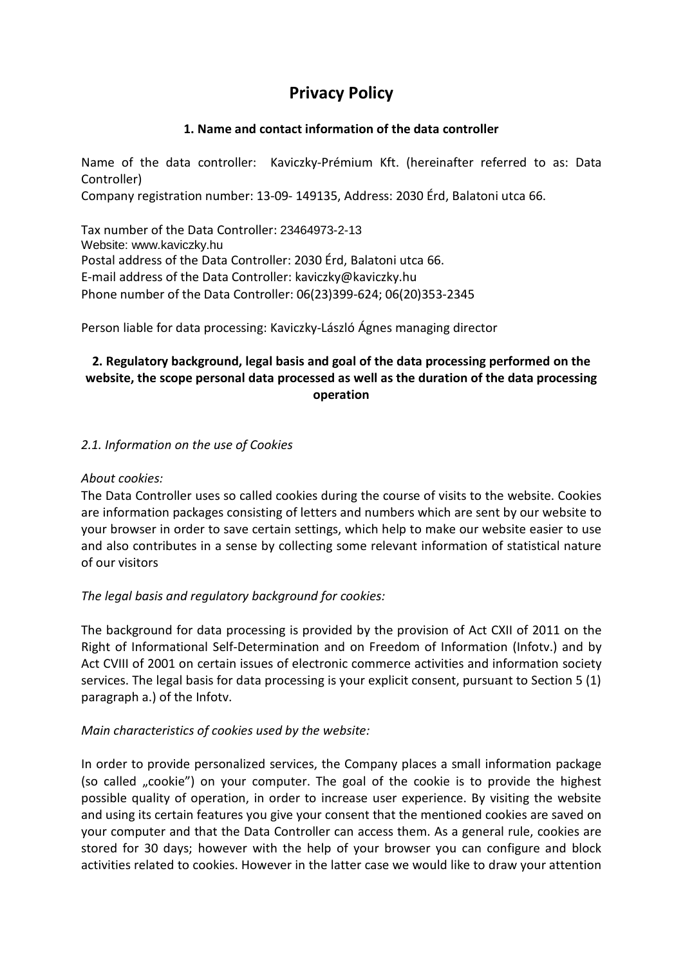# **Privacy Policy**

## **1. Name and contact information of the data controller**

Name of the data controller: Kaviczky-Prémium Kft. (hereinafter referred to as: Data Controller) Company registration number: 13-09- 149135, Address: 2030 Érd, Balatoni utca 66.

Tax number of the Data Controller: 23464973-2-13 Website: www.kaviczky.hu Postal address of the Data Controller: 2030 Érd, Balatoni utca 66. E-mail address of the Data Controller: kaviczky@kaviczky.hu Phone number of the Data Controller: 06(23)399-624; 06(20)353-2345

Person liable for data processing: Kaviczky-László Ágnes managing director

# **2. Regulatory background, legal basis and goal of the data processing performed on the website, the scope personal data processed as well as the duration of the data processing operation**

## *2.1. Information on the use of Cookies*

#### *About cookies:*

The Data Controller uses so called cookies during the course of visits to the website. Cookies are information packages consisting of letters and numbers which are sent by our website to your browser in order to save certain settings, which help to make our website easier to use and also contributes in a sense by collecting some relevant information of statistical nature of our visitors

## *The legal basis and regulatory background for cookies:*

The background for data processing is provided by the provision of Act CXII of 2011 on the Right of Informational Self-Determination and on Freedom of Information (Infotv.) and by Act CVIII of 2001 on certain issues of electronic commerce activities and information society services. The legal basis for data processing is your explicit consent, pursuant to Section 5 (1) paragraph a.) of the Infotv.

#### *Main characteristics of cookies used by the website:*

In order to provide personalized services, the Company places a small information package (so called "cookie") on your computer. The goal of the cookie is to provide the highest possible quality of operation, in order to increase user experience. By visiting the website and using its certain features you give your consent that the mentioned cookies are saved on your computer and that the Data Controller can access them. As a general rule, cookies are stored for 30 days; however with the help of your browser you can configure and block activities related to cookies. However in the latter case we would like to draw your attention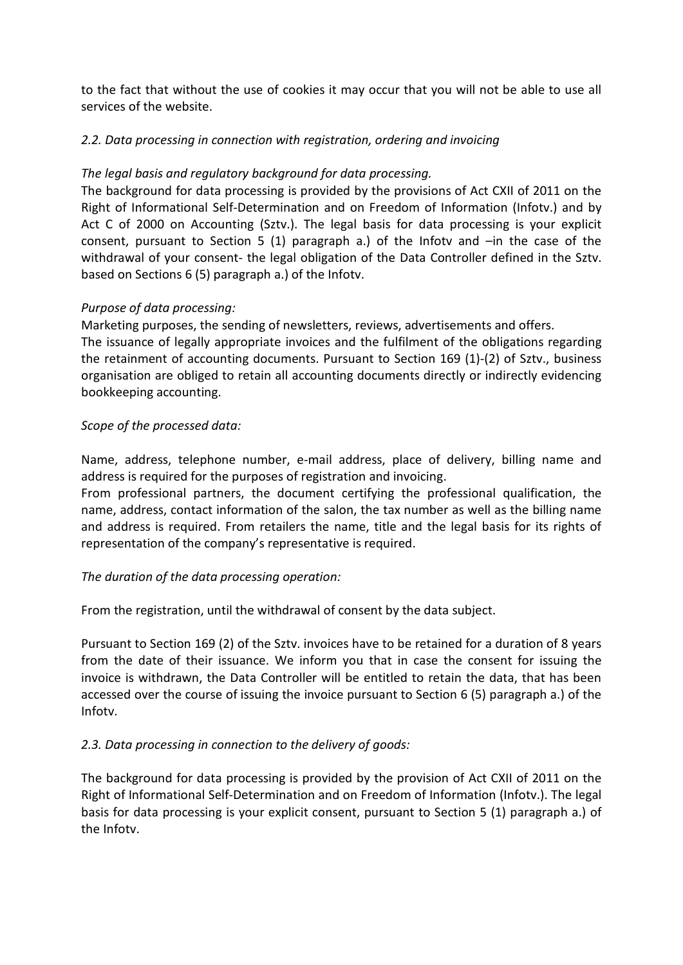to the fact that without the use of cookies it may occur that you will not be able to use all services of the website.

# *2.2. Data processing in connection with registration, ordering and invoicing*

# *The legal basis and regulatory background for data processing.*

The background for data processing is provided by the provisions of Act CXII of 2011 on the Right of Informational Self-Determination and on Freedom of Information (Infotv.) and by Act C of 2000 on Accounting (Sztv.). The legal basis for data processing is your explicit consent, pursuant to Section 5 (1) paragraph a.) of the Infotv and –in the case of the withdrawal of your consent- the legal obligation of the Data Controller defined in the Sztv. based on Sections 6 (5) paragraph a.) of the Infotv.

# *Purpose of data processing:*

Marketing purposes, the sending of newsletters, reviews, advertisements and offers. The issuance of legally appropriate invoices and the fulfilment of the obligations regarding the retainment of accounting documents. Pursuant to Section 169 (1)-(2) of Sztv., business organisation are obliged to retain all accounting documents directly or indirectly evidencing bookkeeping accounting.

# *Scope of the processed data:*

Name, address, telephone number, e-mail address, place of delivery, billing name and address is required for the purposes of registration and invoicing.

From professional partners, the document certifying the professional qualification, the name, address, contact information of the salon, the tax number as well as the billing name and address is required. From retailers the name, title and the legal basis for its rights of representation of the company's representative is required.

## *The duration of the data processing operation:*

From the registration, until the withdrawal of consent by the data subject.

Pursuant to Section 169 (2) of the Sztv. invoices have to be retained for a duration of 8 years from the date of their issuance. We inform you that in case the consent for issuing the invoice is withdrawn, the Data Controller will be entitled to retain the data, that has been accessed over the course of issuing the invoice pursuant to Section 6 (5) paragraph a.) of the Infotv.

## *2.3. Data processing in connection to the delivery of goods:*

The background for data processing is provided by the provision of Act CXII of 2011 on the Right of Informational Self-Determination and on Freedom of Information (Infotv.). The legal basis for data processing is your explicit consent, pursuant to Section 5 (1) paragraph a.) of the Infotv.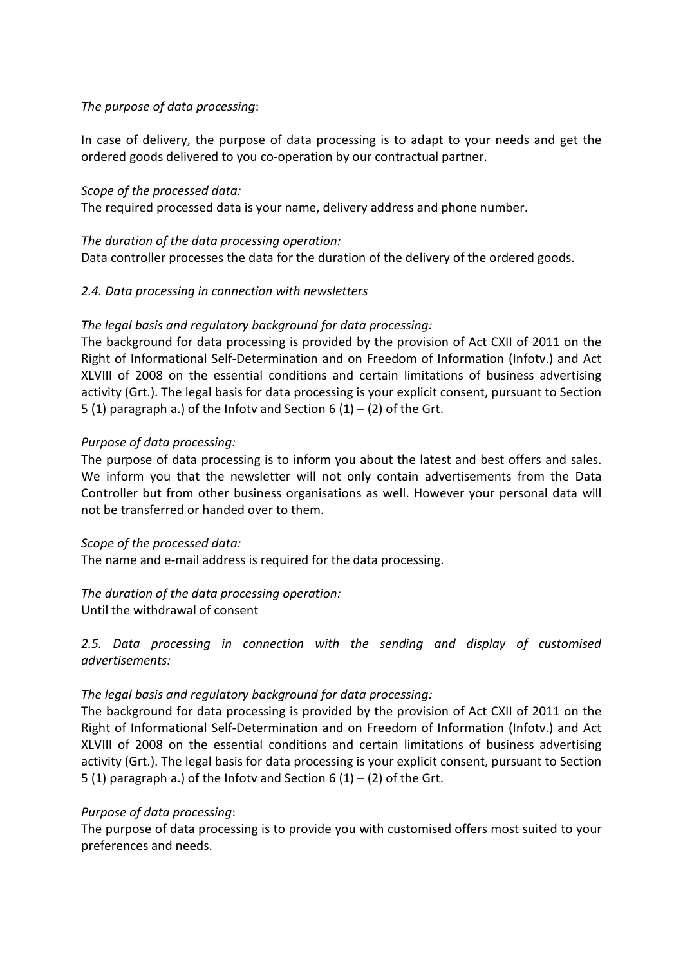## *The purpose of data processing*:

In case of delivery, the purpose of data processing is to adapt to your needs and get the ordered goods delivered to you co-operation by our contractual partner.

#### *Scope of the processed data:*

The required processed data is your name, delivery address and phone number.

*The duration of the data processing operation:* Data controller processes the data for the duration of the delivery of the ordered goods.

### *2.4. Data processing in connection with newsletters*

### *The legal basis and regulatory background for data processing:*

The background for data processing is provided by the provision of Act CXII of 2011 on the Right of Informational Self-Determination and on Freedom of Information (Infotv.) and Act XLVIII of 2008 on the essential conditions and certain limitations of business advertising activity (Grt.). The legal basis for data processing is your explicit consent, pursuant to Section 5 (1) paragraph a.) of the Infotv and Section  $6(1) - (2)$  of the Grt.

### *Purpose of data processing:*

The purpose of data processing is to inform you about the latest and best offers and sales. We inform you that the newsletter will not only contain advertisements from the Data Controller but from other business organisations as well. However your personal data will not be transferred or handed over to them.

#### *Scope of the processed data:*

The name and e-mail address is required for the data processing.

# *The duration of the data processing operation:*

Until the withdrawal of consent

*2.5. Data processing in connection with the sending and display of customised advertisements:*

## *The legal basis and regulatory background for data processing:*

The background for data processing is provided by the provision of Act CXII of 2011 on the Right of Informational Self-Determination and on Freedom of Information (Infotv.) and Act XLVIII of 2008 on the essential conditions and certain limitations of business advertising activity (Grt.). The legal basis for data processing is your explicit consent, pursuant to Section 5 (1) paragraph a.) of the Infotv and Section 6 (1) – (2) of the Grt.

#### *Purpose of data processing*:

The purpose of data processing is to provide you with customised offers most suited to your preferences and needs.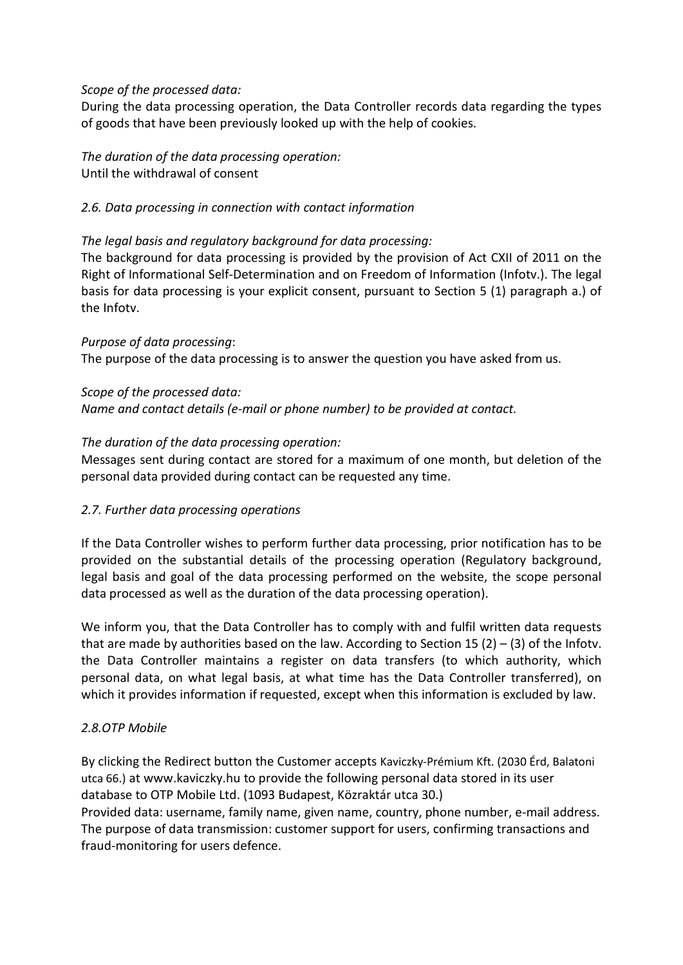#### *Scope of the processed data:*

During the data processing operation, the Data Controller records data regarding the types of goods that have been previously looked up with the help of cookies.

*The duration of the data processing operation:* Until the withdrawal of consent

## *2.6. Data processing in connection with contact information*

### *The legal basis and regulatory background for data processing:*

The background for data processing is provided by the provision of Act CXII of 2011 on the Right of Informational Self-Determination and on Freedom of Information (Infotv.). The legal basis for data processing is your explicit consent, pursuant to Section 5 (1) paragraph a.) of the Infotv.

*Purpose of data processing*: The purpose of the data processing is to answer the question you have asked from us.

### *Scope of the processed data:*

*Name and contact details (e-mail or phone number) to be provided at contact.*

### *The duration of the data processing operation:*

Messages sent during contact are stored for a maximum of one month, but deletion of the personal data provided during contact can be requested any time.

## *2.7. Further data processing operations*

If the Data Controller wishes to perform further data processing, prior notification has to be provided on the substantial details of the processing operation (Regulatory background, legal basis and goal of the data processing performed on the website, the scope personal data processed as well as the duration of the data processing operation).

We inform you, that the Data Controller has to comply with and fulfil written data requests that are made by authorities based on the law. According to Section 15 (2) – (3) of the Infotv. the Data Controller maintains a register on data transfers (to which authority, which personal data, on what legal basis, at what time has the Data Controller transferred), on which it provides information if requested, except when this information is excluded by law.

## *2.8.OTP Mobile*

By clicking the Redirect button the Customer accepts Kaviczky-Prémium Kft. (2030 Érd, Balatoni utca 66.) at www.kaviczky.hu to provide the following personal data stored in its user database to OTP Mobile Ltd. (1093 Budapest, Közraktár utca 30.) Provided data: username, family name, given name, country, phone number, e-mail address. The purpose of data transmission: customer support for users, confirming transactions and

fraud-monitoring for users defence.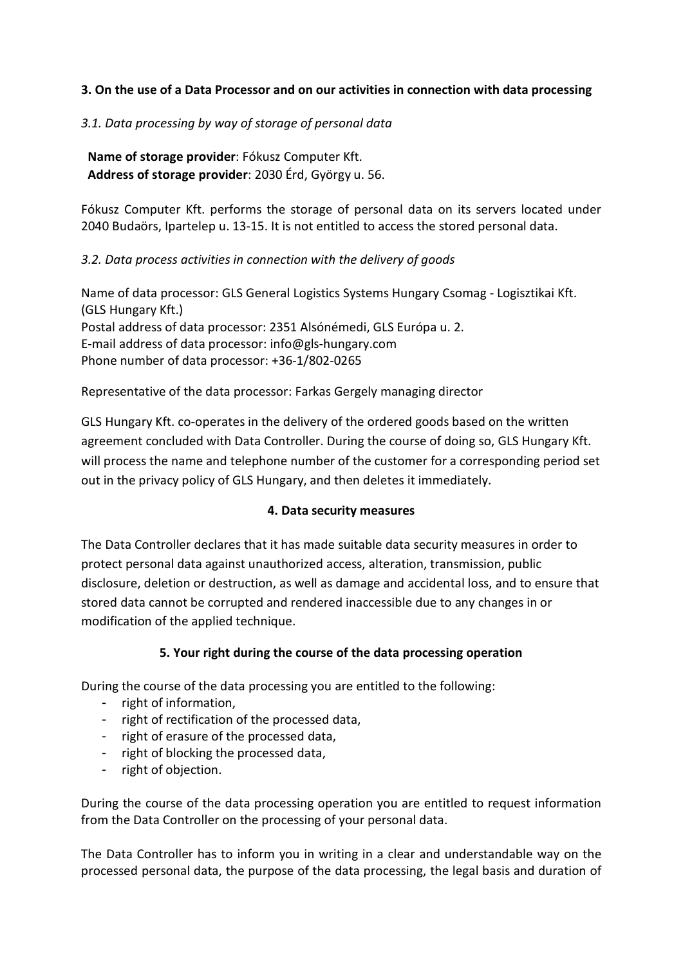## **3. On the use of a Data Processor and on our activities in connection with data processing**

## *3.1. Data processing by way of storage of personal data*

**Name of storage provider**: Fókusz Computer Kft. **Address of storage provider**: 2030 Érd, György u. 56.

Fókusz Computer Kft. performs the storage of personal data on its servers located under 2040 Budaörs, Ipartelep u. 13-15. It is not entitled to access the stored personal data.

### *3.2. Data process activities in connection with the delivery of goods*

Name of data processor: GLS General Logistics Systems Hungary Csomag - Logisztikai Kft. (GLS Hungary Kft.) Postal address of data processor: 2351 Alsónémedi, GLS Európa u. 2. E-mail address of data processor: [info@gls-hungary.com](mailto:info@gls-hungary.com) Phone number of data processor: +36-1/802-0265

Representative of the data processor: Farkas Gergely managing director

GLS Hungary Kft. co-operates in the delivery of the ordered goods based on the written agreement concluded with Data Controller. During the course of doing so, GLS Hungary Kft. will process the name and telephone number of the customer for a corresponding period set out in the privacy policy of GLS Hungary, and then deletes it immediately.

#### **4. Data security measures**

The Data Controller declares that it has made suitable data security measures in order to protect personal data against unauthorized access, alteration, transmission, public disclosure, deletion or destruction, as well as damage and accidental loss, and to ensure that stored data cannot be corrupted and rendered inaccessible due to any changes in or modification of the applied technique.

## **5. Your right during the course of the data processing operation**

During the course of the data processing you are entitled to the following:

- right of information,
- right of rectification of the processed data,
- right of erasure of the processed data,
- right of blocking the processed data,
- right of objection.

During the course of the data processing operation you are entitled to request information from the Data Controller on the processing of your personal data.

The Data Controller has to inform you in writing in a clear and understandable way on the processed personal data, the purpose of the data processing, the legal basis and duration of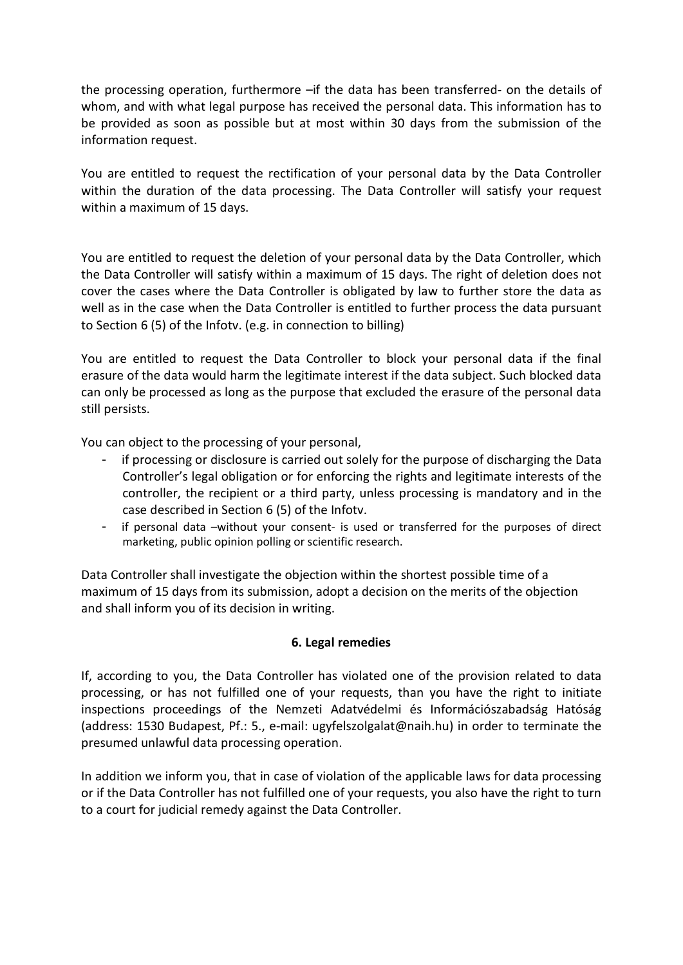the processing operation, furthermore –if the data has been transferred- on the details of whom, and with what legal purpose has received the personal data. This information has to be provided as soon as possible but at most within 30 days from the submission of the information request.

You are entitled to request the rectification of your personal data by the Data Controller within the duration of the data processing. The Data Controller will satisfy your request within a maximum of 15 days.

You are entitled to request the deletion of your personal data by the Data Controller, which the Data Controller will satisfy within a maximum of 15 days. The right of deletion does not cover the cases where the Data Controller is obligated by law to further store the data as well as in the case when the Data Controller is entitled to further process the data pursuant to Section 6 (5) of the Infotv. (e.g. in connection to billing)

You are entitled to request the Data Controller to block your personal data if the final erasure of the data would harm the legitimate interest if the data subject. Such blocked data can only be processed as long as the purpose that excluded the erasure of the personal data still persists.

You can object to the processing of your personal,

- if processing or disclosure is carried out solely for the purpose of discharging the Data Controller's legal obligation or for enforcing the rights and legitimate interests of the controller, the recipient or a third party, unless processing is mandatory and in the case described in Section 6 (5) of the Infotv.
- if personal data –without your consent- is used or transferred for the purposes of direct marketing, public opinion polling or scientific research.

Data Controller shall investigate the objection within the shortest possible time of a maximum of 15 days from its submission, adopt a decision on the merits of the objection and shall inform you of its decision in writing.

#### **6. Legal remedies**

If, according to you, the Data Controller has violated one of the provision related to data processing, or has not fulfilled one of your requests, than you have the right to initiate inspections proceedings of the Nemzeti Adatvédelmi és Információszabadság Hatóság (address: 1530 Budapest, Pf.: 5., e-mail: ugyfelszolgalat@naih.hu) in order to terminate the presumed unlawful data processing operation.

In addition we inform you, that in case of violation of the applicable laws for data processing or if the Data Controller has not fulfilled one of your requests, you also have the right to turn to a court for judicial remedy against the Data Controller.